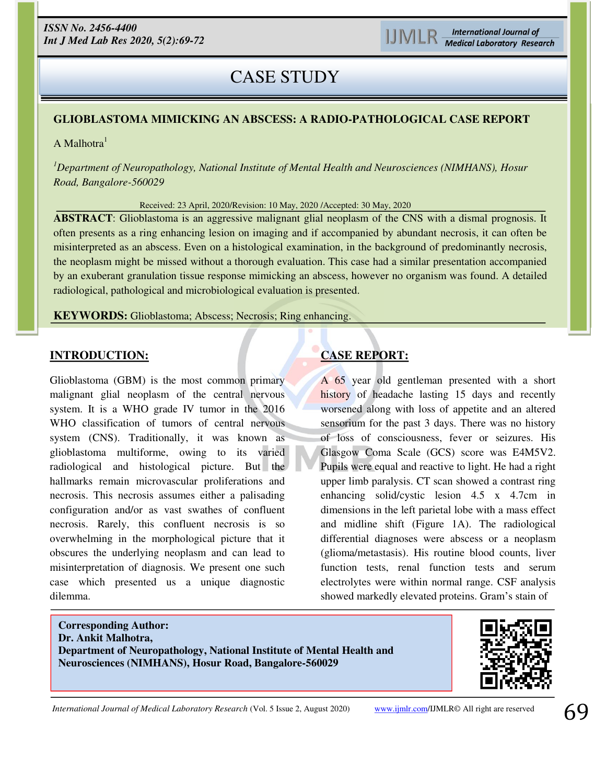# CASE STUDY

## **GLIOBLASTOMA MIMICKING AN ABSCESS: A RADIO-PATHOLOGICAL CASE REPORT**

A Malhotra $<sup>1</sup>$ </sup>

*<sup>1</sup>Department of Neuropathology, National Institute of Mental Health and Neurosciences (NIMHANS), Hosur Road, Bangalore-560029* 

Received: 23 April, 2020/Revision: 10 May, 2020 /Accepted: 30 May, 2020

**ABSTRACT**: Glioblastoma is an aggressive malignant glial neoplasm of the CNS with a dismal prognosis. It often presents as a ring enhancing lesion on imaging and if accompanied by abundant necrosis, it can often be misinterpreted as an abscess. Even on a histological examination, in the background of predominantly necrosis, the neoplasm might be missed without a thorough evaluation. This case had a similar presentation accompanied by an exuberant granulation tissue response mimicking an abscess, however no organism was found. A detailed radiological, pathological and microbiological evaluation is presented.

**KEYWORDS:** Glioblastoma; Abscess; Necrosis; Ring enhancing.

#### **INTRODUCTION:**

İ

Glioblastoma (GBM) is the most common primary malignant glial neoplasm of the central nervous system. It is a WHO grade IV tumor in the 2016 WHO classification of tumors of central nervous system (CNS). Traditionally, it was known as glioblastoma multiforme, owing to its varied radiological and histological picture. But the hallmarks remain microvascular proliferations and necrosis. This necrosis assumes either a palisading configuration and/or as vast swathes of confluent necrosis. Rarely, this confluent necrosis is so overwhelming in the morphological picture that it obscures the underlying neoplasm and can lead to misinterpretation of diagnosis. We present one such case which presented us a unique diagnostic dilemma.

# **CASE REPORT:**

A 65 year old gentleman presented with a short history of headache lasting 15 days and recently worsened along with loss of appetite and an altered sensorium for the past 3 days. There was no history of loss of consciousness, fever or seizures. His Glasgow Coma Scale (GCS) score was E4M5V2. Pupils were equal and reactive to light. He had a right upper limb paralysis. CT scan showed a contrast ring enhancing solid/cystic lesion 4.5 x 4.7cm in dimensions in the left parietal lobe with a mass effect and midline shift (Figure 1A). The radiological differential diagnoses were abscess or a neoplasm (glioma/metastasis). His routine blood counts, liver function tests, renal function tests and serum electrolytes were within normal range. CSF analysis showed markedly elevated proteins. Gram's stain of

**Corresponding Author: Dr. Ankit Malhotra, Department of Neuropathology, National Institute of Mental Health and Neurosciences (NIMHANS), Hosur Road, Bangalore-560029** 



*International Journal of Medical Laboratory Research* (Vol. 5 Issue 2, August 2020) [www.ijmlr.com/](https://www.ijmlr.com/)IJMLR© All right are reserved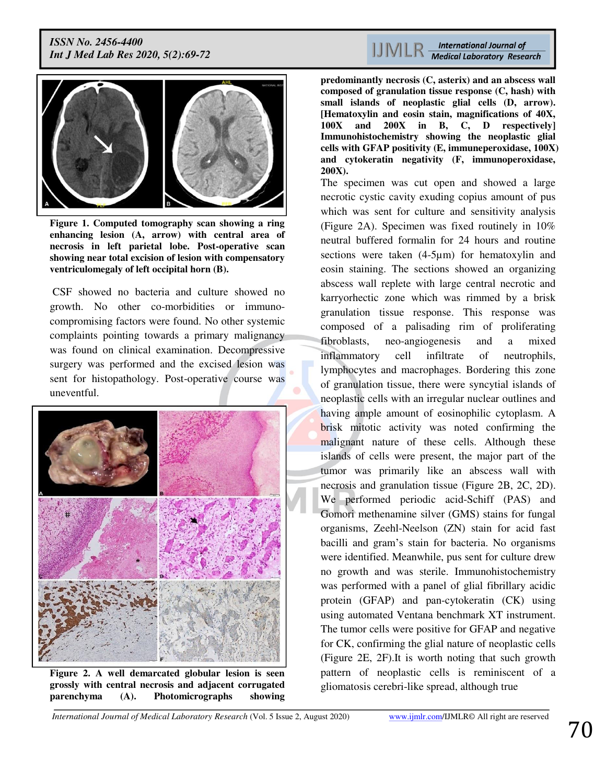

**Figure 1. Computed tomography scan showing a ring enhancing lesion (A, arrow) with central area of necrosis in left parietal lobe. Post-operative scan showing near total excision of lesion with compensatory ventriculomegaly of left occipital horn (B).** 

 CSF showed no bacteria and culture showed no growth. No other co-morbidities or immunocompromising factors were found. No other systemic complaints pointing towards a primary malignancy was found on clinical examination. Decompressive surgery was performed and the excised lesion was sent for histopathology. Post-operative course was uneventful.



**Figure 2. A well demarcated globular lesion is seen grossly with central necrosis and adjacent corrugated parenchyma (A). Photomicrographs showing** 

**predominantly necrosis (C, asterix) and an abscess wall composed of granulation tissue response (C, hash) with small islands of neoplastic glial cells (D, arrow). [Hematoxylin and eosin stain, magnifications of 40X, 100X and 200X in B, C, D respectively] Immunohistochemistry showing the neoplastic glial cells with GFAP positivity (E, immuneperoxidase, 100X) and cytokeratin negativity (F, immunoperoxidase, 200X).** 

The specimen was cut open and showed a large necrotic cystic cavity exuding copius amount of pus which was sent for culture and sensitivity analysis (Figure 2A). Specimen was fixed routinely in 10% neutral buffered formalin for 24 hours and routine sections were taken (4-5µm) for hematoxylin and eosin staining. The sections showed an organizing abscess wall replete with large central necrotic and karryorhectic zone which was rimmed by a brisk granulation tissue response. This response was composed of a palisading rim of proliferating fibroblasts, neo-angiogenesis and a mixed inflammatory cell infiltrate of neutrophils, lymphocytes and macrophages. Bordering this zone of granulation tissue, there were syncytial islands of neoplastic cells with an irregular nuclear outlines and having ample amount of eosinophilic cytoplasm. A brisk mitotic activity was noted confirming the malignant nature of these cells. Although these islands of cells were present, the major part of the tumor was primarily like an abscess wall with necrosis and granulation tissue (Figure 2B, 2C, 2D). We performed periodic acid-Schiff (PAS) and Gomori methenamine silver (GMS) stains for fungal organisms, Zeehl-Neelson (ZN) stain for acid fast bacilli and gram's stain for bacteria. No organisms were identified. Meanwhile, pus sent for culture drew no growth and was sterile. Immunohistochemistry was performed with a panel of glial fibrillary acidic protein (GFAP) and pan-cytokeratin (CK) using using automated Ventana benchmark XT instrument. The tumor cells were positive for GFAP and negative for CK, confirming the glial nature of neoplastic cells (Figure 2E, 2F).It is worth noting that such growth pattern of neoplastic cells is reminiscent of a gliomatosis cerebri-like spread, although true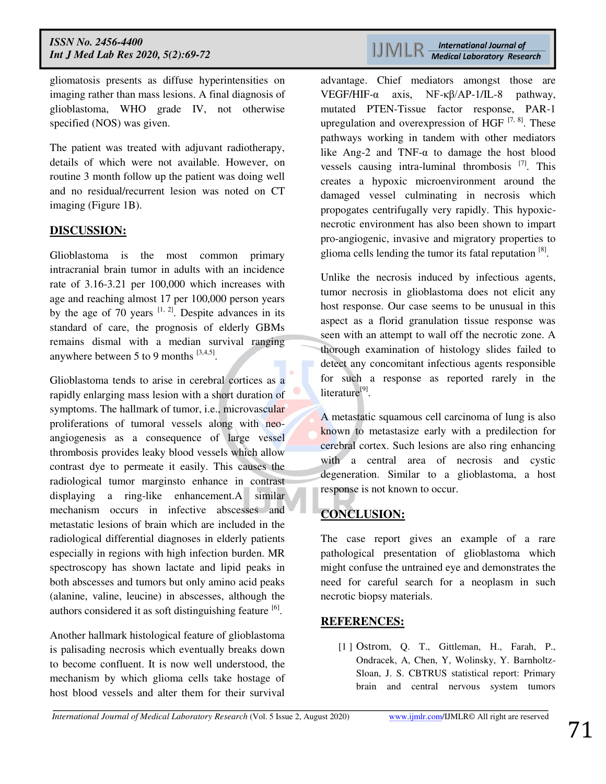gliomatosis presents as diffuse hyperintensities on imaging rather than mass lesions. A final diagnosis of glioblastoma, WHO grade IV, not otherwise specified (NOS) was given.

The patient was treated with adjuvant radiotherapy, details of which were not available. However, on routine 3 month follow up the patient was doing well and no residual/recurrent lesion was noted on CT imaging (Figure 1B).

### **DISCUSSION:**

Glioblastoma is the most common primary intracranial brain tumor in adults with an incidence rate of 3.16-3.21 per 100,000 which increases with age and reaching almost 17 per 100,000 person years by the age of 70 years  $[1, 2]$ . Despite advances in its standard of care, the prognosis of elderly GBMs remains dismal with a median survival ranging anywhere between 5 to 9 months  $^{[3,4,5]}$ .

Glioblastoma tends to arise in cerebral cortices as a rapidly enlarging mass lesion with a short duration of symptoms. The hallmark of tumor, i.e., microvascular proliferations of tumoral vessels along with neoangiogenesis as a consequence of large vessel thrombosis provides leaky blood vessels which allow contrast dye to permeate it easily. This causes the radiological tumor marginsto enhance in contrast displaying a ring-like enhancement.A similar mechanism occurs in infective abscesses and metastatic lesions of brain which are included in the radiological differential diagnoses in elderly patients especially in regions with high infection burden. MR spectroscopy has shown lactate and lipid peaks in both abscesses and tumors but only amino acid peaks (alanine, valine, leucine) in abscesses, although the authors considered it as soft distinguishing feature <sup>[6]</sup>.

Another hallmark histological feature of glioblastoma is palisading necrosis which eventually breaks down to become confluent. It is now well understood, the mechanism by which glioma cells take hostage of host blood vessels and alter them for their survival

 $\text{UINER}\ \textcolor{red}{\xrightarrow{\textit{International Journal of} \ \textit{Medical Laboratory Research}}$ 

advantage. Chief mediators amongst those are VEGF/HIF-α axis, NF-κβ/AP-1/IL-8 pathway, mutated PTEN-Tissue factor response, PAR-1 upregulation and overexpression of HGF  $^{[7, 8]}$ . These pathways working in tandem with other mediators like Ang-2 and TNF- $\alpha$  to damage the host blood vessels causing intra-luminal thrombosis  $^{[7]}$ . This creates a hypoxic microenvironment around the damaged vessel culminating in necrosis which propogates centrifugally very rapidly. This hypoxicnecrotic environment has also been shown to impart pro-angiogenic, invasive and migratory properties to glioma cells lending the tumor its fatal reputation <sup>[8]</sup>.

Unlike the necrosis induced by infectious agents, tumor necrosis in glioblastoma does not elicit any host response. Our case seems to be unusual in this aspect as a florid granulation tissue response was seen with an attempt to wall off the necrotic zone. A thorough examination of histology slides failed to detect any concomitant infectious agents responsible for such a response as reported rarely in the literature<sup>[9]</sup>.

A metastatic squamous cell carcinoma of lung is also known to metastasize early with a predilection for cerebral cortex. Such lesions are also ring enhancing with a central area of necrosis and cystic degeneration. Similar to a glioblastoma, a host response is not known to occur.

## **CONCLUSION:**

The case report gives an example of a rare pathological presentation of glioblastoma which might confuse the untrained eye and demonstrates the need for careful search for a neoplasm in such necrotic biopsy materials.

#### **REFERENCES:**

[1 ] Ostrom, Q. T., Gittleman, H., Farah, P., Ondracek, A, Chen, Y, Wolinsky, Y. Barnholtz-Sloan, J. S. CBTRUS statistical report: Primary brain and central nervous system tumors